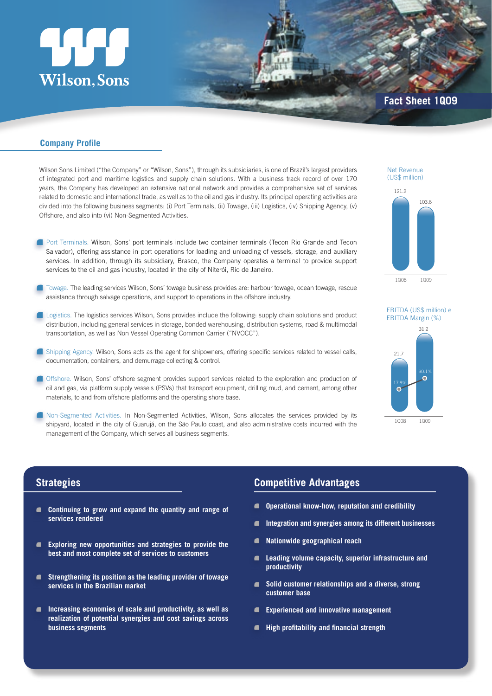# **Wilson, Sons**

## **Company Profile**

Wilson Sons Limited ("the Company" or "Wilson, Sons"), through its subsidiaries, is one of Brazil's largest providers of integrated port and maritime logistics and supply chain solutions. With a business track record of over 170 years, the Company has developed an extensive national network and provides a comprehensive set of services related to domestic and international trade, as well as to the oil and gas industry. Its principal operating activities are divided into the following business segments: (i) Port Terminals, (ii) Towage, (iii) Logistics, (iv) Shipping Agency, (v) Offshore, and also into (vi) Non-Segmented Activities.

- Port Terminals. Wilson, Sons' port terminals include two container terminals (Tecon Rio Grande and Tecon Salvador), offering assistance in port operations for loading and unloading of vessels, storage, and auxiliary services. In addition, through its subsidiary, Brasco, the Company operates a terminal to provide support services to the oil and gas industry, located in the city of Niterói, Rio de Janeiro.
- Towage. The leading services Wilson, Sons' towage business provides are: harbour towage, ocean towage, rescue assistance through salvage operations, and support to operations in the offshore industry.
- **Logistics. The logistics services Wilson, Sons provides include the following: supply chain solutions and product** distribution, including general services in storage, bonded warehousing, distribution systems, road & multimodal transportation, as well as Non Vessel Operating Common Carrier ("NVOCC").
- Shipping Agency. Wilson, Sons acts as the agent for shipowners, offering specific services related to vessel calls, documentation, containers, and demurrage collecting & control.
- **I** Offshore. Wilson, Sons' offshore segment provides support services related to the exploration and production of oil and gas, via platform supply vessels (PSVs) that transport equipment, drilling mud, and cement, among other materials, to and from offshore platforms and the operating shore base.
- Non-Segmented Activities. In Non-Segmented Activities, Wilson, Sons allocates the services provided by its shipyard, located in the city of Guarujá, on the São Paulo coast, and also administrative costs incurred with the management of the Company, which serves all business segments.

#### Net Revenue (US\$ million)



#### EBITDA (US\$ million) e EBITDA Margin (%)



# **Strategies**

- **Continuing to grow and expand the quantity and range of services rendered**
- **Exploring new opportunities and strategies to provide the**   $\blacksquare$ **best and most complete set of services to customers**
- **Strengthening its position as the leading provider of towage**   $\blacksquare$ **services in the Brazilian market**
- **Increasing economies of scale and productivity, as well as realization of potential synergies and cost savings across business segments**

## **Competitive Advantages**

- $\blacksquare$ **Operational know-how, reputation and credibility**
- **Integration and synergies among its different businesses**
- **Nationwide geographical reach**
- **Leading volume capacity, superior infrastructure and**   $\blacksquare$ **productivity**
- **Solid customer relationships and a diverse, strong customer base**
- **Experienced and innovative management**
- **High profitability and financial strength**  $\blacksquare$